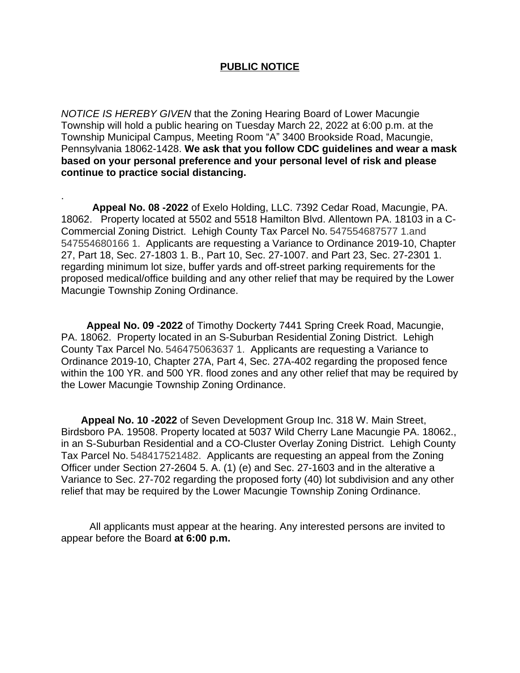## **PUBLIC NOTICE**

*NOTICE IS HEREBY GIVEN* that the Zoning Hearing Board of Lower Macungie Township will hold a public hearing on Tuesday March 22, 2022 at 6:00 p.m. at the Township Municipal Campus, Meeting Room "A" 3400 Brookside Road, Macungie, Pennsylvania 18062-1428. **We ask that you follow CDC guidelines and wear a mask based on your personal preference and your personal level of risk and please continue to practice social distancing.**

 **Appeal No. 08 -2022** of Exelo Holding, LLC. 7392 Cedar Road, Macungie, PA. 18062. Property located at 5502 and 5518 Hamilton Blvd. Allentown PA. 18103 in a C-Commercial Zoning District. Lehigh County Tax Parcel No. 547554687577 1.and 547554680166 1. Applicants are requesting a Variance to Ordinance 2019-10, Chapter 27, Part 18, Sec. 27-1803 1. B., Part 10, Sec. 27-1007. and Part 23, Sec. 27-2301 1. regarding minimum lot size, buffer yards and off-street parking requirements for the proposed medical/office building and any other relief that may be required by the Lower Macungie Township Zoning Ordinance.

.

 **Appeal No. 09 -2022** of Timothy Dockerty 7441 Spring Creek Road, Macungie, PA. 18062. Property located in an S-Suburban Residential Zoning District. Lehigh County Tax Parcel No. 546475063637 1. Applicants are requesting a Variance to Ordinance 2019-10, Chapter 27A, Part 4, Sec. 27A-402 regarding the proposed fence within the 100 YR. and 500 YR. flood zones and any other relief that may be required by the Lower Macungie Township Zoning Ordinance.

 **Appeal No. 10 -2022** of Seven Development Group Inc. 318 W. Main Street, Birdsboro PA. 19508. Property located at 5037 Wild Cherry Lane Macungie PA. 18062., in an S-Suburban Residential and a CO-Cluster Overlay Zoning District. Lehigh County Tax Parcel No. 548417521482. Applicants are requesting an appeal from the Zoning Officer under Section 27-2604 5. A. (1) (e) and Sec. 27-1603 and in the alterative a Variance to Sec. 27-702 regarding the proposed forty (40) lot subdivision and any other relief that may be required by the Lower Macungie Township Zoning Ordinance.

 All applicants must appear at the hearing. Any interested persons are invited to appear before the Board **at 6:00 p.m.**